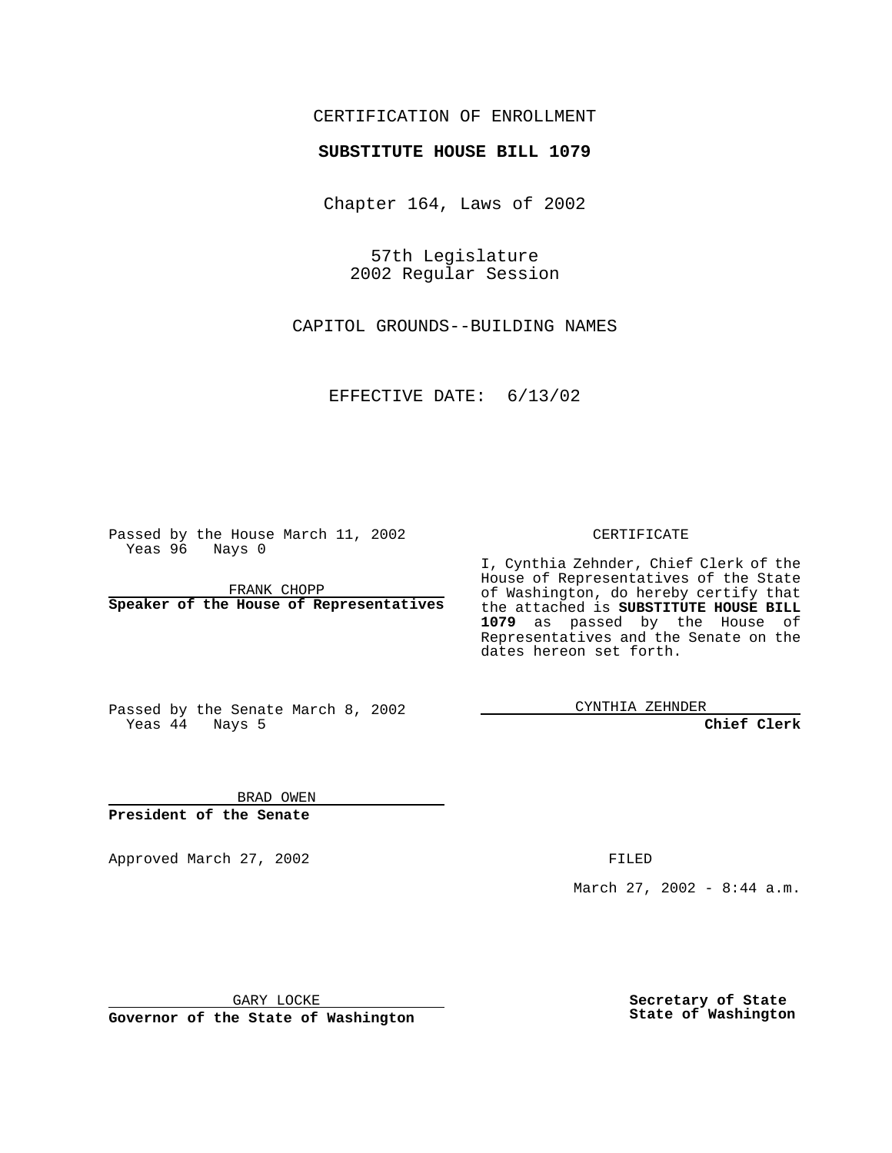#### CERTIFICATION OF ENROLLMENT

# **SUBSTITUTE HOUSE BILL 1079**

Chapter 164, Laws of 2002

57th Legislature 2002 Regular Session

CAPITOL GROUNDS--BUILDING NAMES

EFFECTIVE DATE: 6/13/02

Passed by the House March 11, 2002 Yeas 96 Nays 0

FRANK CHOPP **Speaker of the House of Representatives** CERTIFICATE

I, Cynthia Zehnder, Chief Clerk of the House of Representatives of the State of Washington, do hereby certify that the attached is **SUBSTITUTE HOUSE BILL 1079** as passed by the House of Representatives and the Senate on the dates hereon set forth.

Passed by the Senate March 8, 2002 Yeas 44 Nays 5

CYNTHIA ZEHNDER

**Chief Clerk**

BRAD OWEN **President of the Senate**

Approved March 27, 2002 **FILED** 

March 27, 2002 - 8:44 a.m.

GARY LOCKE

**Governor of the State of Washington**

**Secretary of State State of Washington**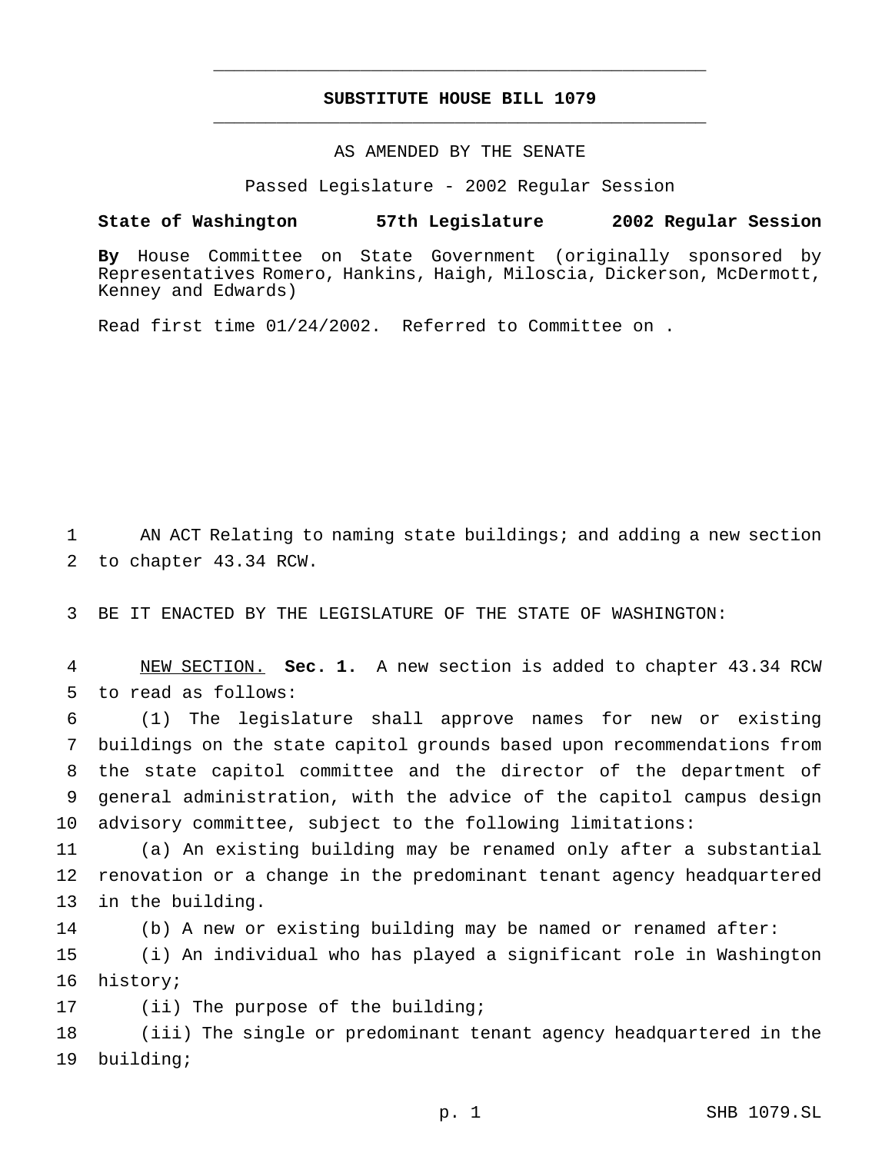## **SUBSTITUTE HOUSE BILL 1079** \_\_\_\_\_\_\_\_\_\_\_\_\_\_\_\_\_\_\_\_\_\_\_\_\_\_\_\_\_\_\_\_\_\_\_\_\_\_\_\_\_\_\_\_\_\_\_

\_\_\_\_\_\_\_\_\_\_\_\_\_\_\_\_\_\_\_\_\_\_\_\_\_\_\_\_\_\_\_\_\_\_\_\_\_\_\_\_\_\_\_\_\_\_\_

### AS AMENDED BY THE SENATE

Passed Legislature - 2002 Regular Session

#### **State of Washington 57th Legislature 2002 Regular Session**

**By** House Committee on State Government (originally sponsored by Representatives Romero, Hankins, Haigh, Miloscia, Dickerson, McDermott, Kenney and Edwards)

Read first time 01/24/2002. Referred to Committee on .

1 AN ACT Relating to naming state buildings; and adding a new section 2 to chapter 43.34 RCW.

3 BE IT ENACTED BY THE LEGISLATURE OF THE STATE OF WASHINGTON:

4 NEW SECTION. **Sec. 1.** A new section is added to chapter 43.34 RCW 5 to read as follows:

 (1) The legislature shall approve names for new or existing buildings on the state capitol grounds based upon recommendations from the state capitol committee and the director of the department of general administration, with the advice of the capitol campus design advisory committee, subject to the following limitations:

11 (a) An existing building may be renamed only after a substantial 12 renovation or a change in the predominant tenant agency headquartered 13 in the building.

14 (b) A new or existing building may be named or renamed after:

15 (i) An individual who has played a significant role in Washington 16 history;

17 (ii) The purpose of the building;

18 (iii) The single or predominant tenant agency headquartered in the 19 building;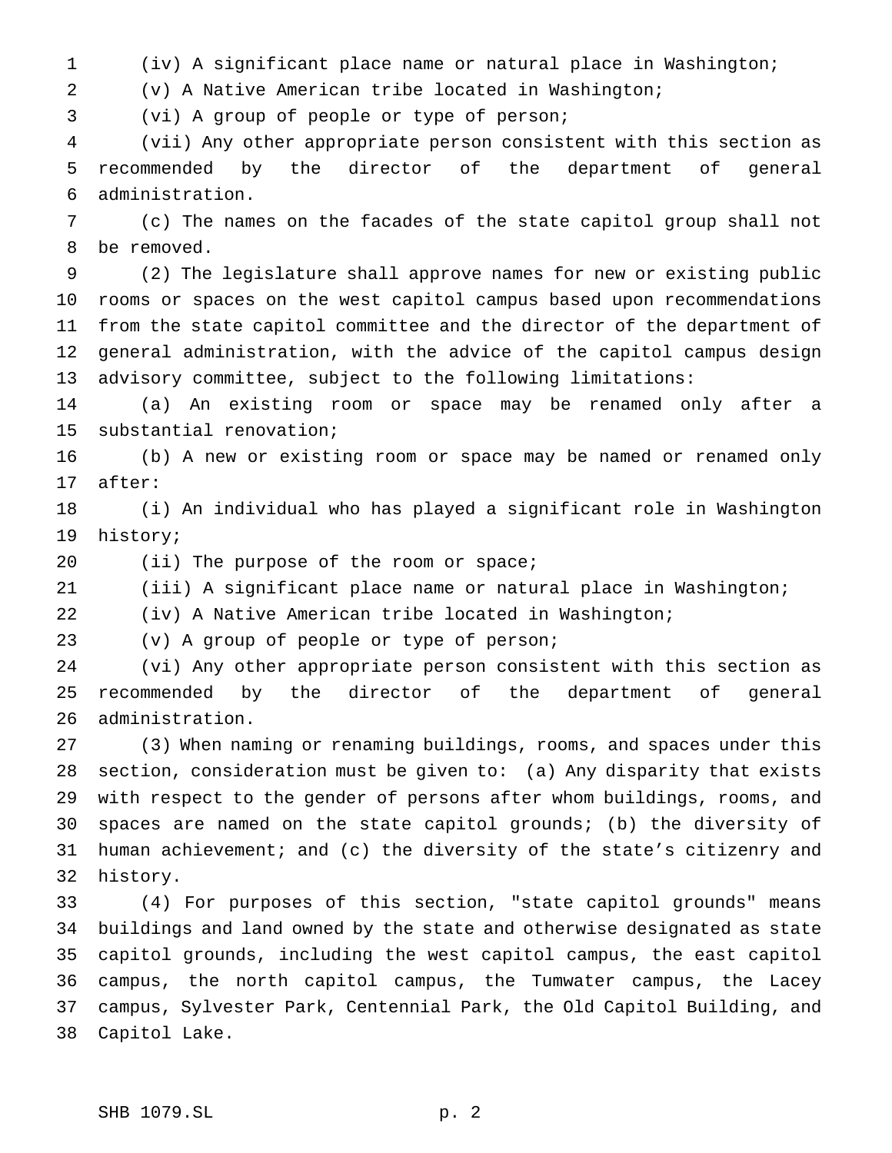(iv) A significant place name or natural place in Washington;

(v) A Native American tribe located in Washington;

(vi) A group of people or type of person;

 (vii) Any other appropriate person consistent with this section as recommended by the director of the department of general administration.

 (c) The names on the facades of the state capitol group shall not be removed.

 (2) The legislature shall approve names for new or existing public rooms or spaces on the west capitol campus based upon recommendations from the state capitol committee and the director of the department of general administration, with the advice of the capitol campus design advisory committee, subject to the following limitations:

 (a) An existing room or space may be renamed only after a substantial renovation;

 (b) A new or existing room or space may be named or renamed only after:

 (i) An individual who has played a significant role in Washington history;

20 (ii) The purpose of the room or space;

(iii) A significant place name or natural place in Washington;

(iv) A Native American tribe located in Washington;

(v) A group of people or type of person;

 (vi) Any other appropriate person consistent with this section as recommended by the director of the department of general administration.

 (3) When naming or renaming buildings, rooms, and spaces under this section, consideration must be given to: (a) Any disparity that exists with respect to the gender of persons after whom buildings, rooms, and spaces are named on the state capitol grounds; (b) the diversity of human achievement; and (c) the diversity of the state's citizenry and history.

 (4) For purposes of this section, "state capitol grounds" means buildings and land owned by the state and otherwise designated as state capitol grounds, including the west capitol campus, the east capitol campus, the north capitol campus, the Tumwater campus, the Lacey campus, Sylvester Park, Centennial Park, the Old Capitol Building, and Capitol Lake.